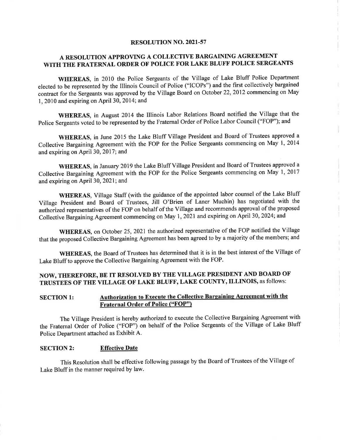#### RESOLUTION NO. 2021-57

#### A RESOLUTION APPROVING A COLLECTIVE BARGAINING AGREEMENT WITH THE FRATERNAL ORDER OF POLICE FOR LAKE BLUFF POLICE SERGEANTS

WHEREAS, in 2010 the Police Sergeants of the Village of Lake Bluff Police Department elected to be represented by the Illinois Council of Police ("ICOPs") and the first collectively bargained contract for the Sergeants was approved by the Village Board on October 22, 2012 commencing on May 1, 2010 and expiring on April 30, 2014; and

WHEREAS, in August 2014 the Illinois Labor Relations Board notified the Village that the Police Sergeants voted to be represented by the Fraternal Order of Police Labor Council ("FOP"); and

WHEREAS, in June 2015 the Lake Bluff Village President and Board of Trustees approved a Collective Bargaining Agreement with the FOP for the Police Sergeants commencing on May 1, 2014 and expiring on April 30, 2017; and

WHEREAS, in January 2019 the Lake Bluff Village President and Board of Trustees approved a Collective Bargaining Agreement with the FOP for the Police Sergeants commencing on May 1, 2017 and expiring on April 30, 2021; and

WHEREAS, Village Staff (with the guidance of the appointed labor counsel of the Lake Bluff Village President and Board of Trustees, Jill O'Brien of Laner Muchin) has negotiated with the authorized representatives of the FOP on behalf of the Village and recommends approval of the proposed Collective Bargaining Agreement commencing on May 1, 2021 and expiring on April 30, 2024; and

WHEREAS, on October 25, 2021 the authorized representative of the FOP notified the Village that the proposed Collective Bargaining Agreement has been agreed to by a majority of the members; and

WHEREAS, the Board of Trustees has determined that it is in the best interest of the Village of Lake Bluff to approve the Collective Bargaining Agreement with the FOP.

#### NOW, THEREFORE, BE IT RESOLVED BY THE VILLAGE PRESIDENT AND BOARD OF TRUSTEES OF THE VILLAGE OF LAKE BLUFF, LAKE COUNTY, ILLINOIS, as follows:

#### Authorization to Execute the Collective Bargaining Agreement with the **SECTION 1: Fraternal Order of Police ("FOP")**

The Village President is hereby authorized to execute the Collective Bargaining Agreement with the Fraternal Order of Police ("FOP") on behalf of the Police Sergeants of the Village of Lake Bluff Police Department attached as Exhibit A.

#### **SECTION 2: Effective Date**

This Resolution shall be effective following passage by the Board of Trustees of the Village of Lake Bluff in the manner required by law.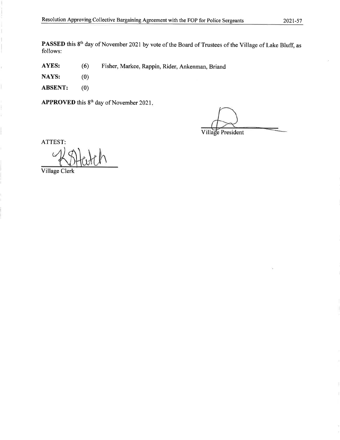PASSED this 8<sup>th</sup> day of November 2021 by vote of the Board of Trustees of the Village of Lake Bluff, as follows:

AYES:  $(6)$ Fisher, Markee, Rappin, Rider, Ankenman, Briand

 $(0)$ NAYS:

ł.

 $(0)$ **ABSENT:** 

APPROVED this 8<sup>th</sup> day of November 2021.

Village President

ATTEST:

Village Clerk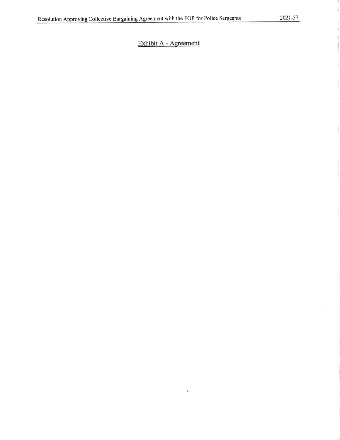#### Exhibit A - Agreement

 $\overline{\bullet}$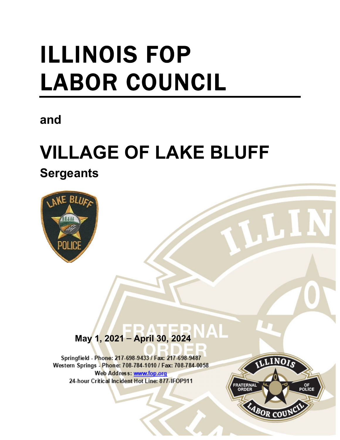# ILLINOIS FOP LABOR COUNCIL

## **and**

## **VILLAGE OF LAKE BLUFF**

**Sergeants** 



#### $\mathbf{\Lambda}$  **May 1, 2021** – **April 30, 2024**

i

Springfield - Phone: 217-698-9433 / Fax: 217-698-9487 Western Springs - Phone: 708-784-1010 / Fax: 708-784-0058 Web Address: www.fop.org 24-hour Critical Incident Hot Line: 877-IFOP911

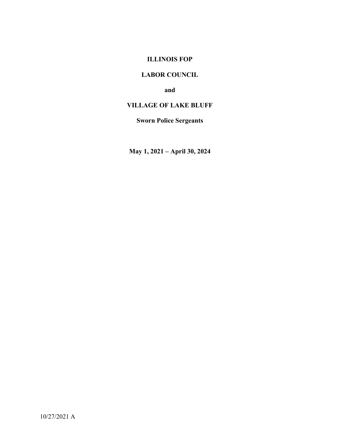#### **ILLINOIS FOP**

#### **LABOR COUNCIL**

**and** 

#### **VILLAGE OF LAKE BLUFF**

#### **Sworn Police Sergeants**

**May 1, 2021 – April 30, 2024**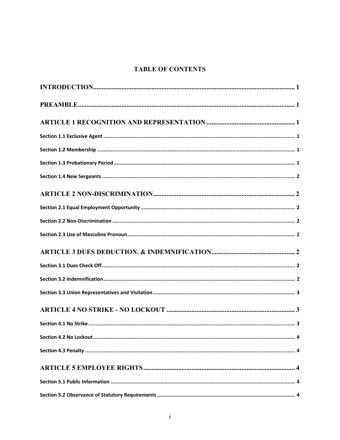#### **TABLE OF CONTENTS**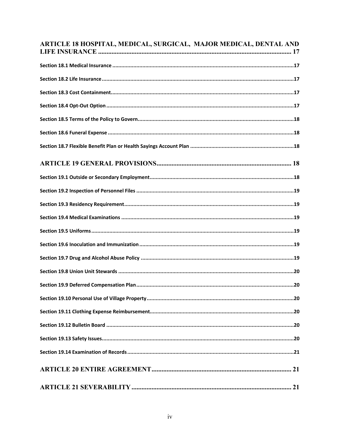| ARTICLE 18 HOSPITAL, MEDICAL, SURGICAL, MAJOR MEDICAL, DENTAL AND |
|-------------------------------------------------------------------|
|                                                                   |
|                                                                   |
|                                                                   |
|                                                                   |
|                                                                   |
|                                                                   |
|                                                                   |
|                                                                   |
|                                                                   |
|                                                                   |
|                                                                   |
|                                                                   |
|                                                                   |
|                                                                   |
|                                                                   |
|                                                                   |
|                                                                   |
|                                                                   |
|                                                                   |
|                                                                   |
|                                                                   |
|                                                                   |
|                                                                   |
|                                                                   |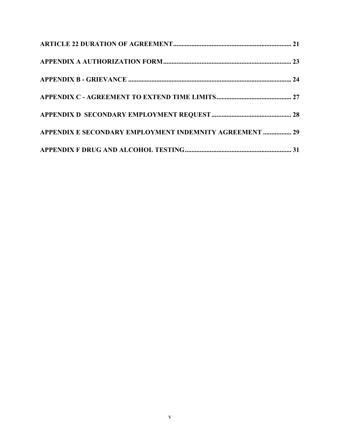| APPENDIX E SECONDARY EMPLOYMENT INDEMNITY AGREEMENT  29 |  |
|---------------------------------------------------------|--|
|                                                         |  |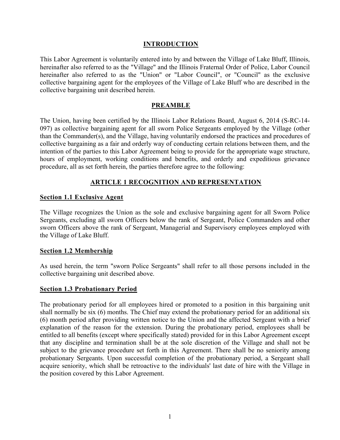#### **INTRODUCTION**

This Labor Agreement is voluntarily entered into by and between the Village of Lake Bluff, Illinois, hereinafter also referred to as the "Village" and the Illinois Fraternal Order of Police, Labor Council hereinafter also referred to as the "Union" or "Labor Council", or "Council" as the exclusive collective bargaining agent for the employees of the Village of Lake Bluff who are described in the collective bargaining unit described herein.

#### **PREAMBLE**

The Union, having been certified by the Illinois Labor Relations Board, August 6, 2014 (S-RC-14- 097) as collective bargaining agent for all sworn Police Sergeants employed by the Village (other than the Commander(s), and the Village, having voluntarily endorsed the practices and procedures of collective bargaining as a fair and orderly way of conducting certain relations between them, and the intention of the parties to this Labor Agreement being to provide for the appropriate wage structure, hours of employment, working conditions and benefits, and orderly and expeditious grievance procedure, all as set forth herein, the parties therefore agree to the following:

#### **ARTICLE 1 RECOGNITION AND REPRESENTATION**

#### **Section 1.1 Exclusive Agent**

The Village recognizes the Union as the sole and exclusive bargaining agent for all Sworn Police Sergeants, excluding all sworn Officers below the rank of Sergeant, Police Commanders and other sworn Officers above the rank of Sergeant, Managerial and Supervisory employees employed with the Village of Lake Bluff.

#### **Section 1.2 Membership**

As used herein, the term "sworn Police Sergeants" shall refer to all those persons included in the collective bargaining unit described above.

#### **Section 1.3 Probationary Period**

The probationary period for all employees hired or promoted to a position in this bargaining unit shall normally be six (6) months. The Chief may extend the probationary period for an additional six (6) month period after providing written notice to the Union and the affected Sergeant with a brief explanation of the reason for the extension. During the probationary period, employees shall be entitled to all benefits (except where specifically stated) provided for in this Labor Agreement except that any discipline and termination shall be at the sole discretion of the Village and shall not be subject to the grievance procedure set forth in this Agreement. There shall be no seniority among probationary Sergeants. Upon successful completion of the probationary period, a Sergeant shall acquire seniority, which shall be retroactive to the individuals' last date of hire with the Village in the position covered by this Labor Agreement.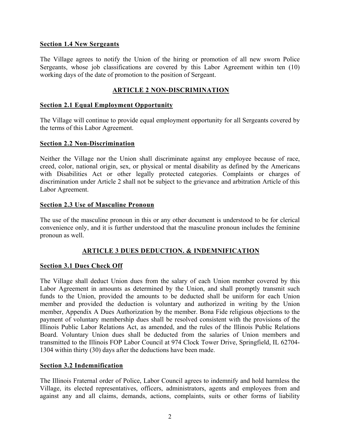#### **Section 1.4 New Sergeants**

The Village agrees to notify the Union of the hiring or promotion of all new sworn Police Sergeants, whose job classifications are covered by this Labor Agreement within ten (10) working days of the date of promotion to the position of Sergeant.

#### **ARTICLE 2 NON-DISCRIMINATION**

#### **Section 2.1 Equal Employment Opportunity**

The Village will continue to provide equal employment opportunity for all Sergeants covered by the terms of this Labor Agreement.

#### **Section 2.2 Non-Discrimination**

Neither the Village nor the Union shall discriminate against any employee because of race, creed, color, national origin, sex, or physical or mental disability as defined by the Americans with Disabilities Act or other legally protected categories. Complaints or charges of discrimination under Article 2 shall not be subject to the grievance and arbitration Article of this Labor Agreement.

#### **Section 2.3 Use of Masculine Pronoun**

The use of the masculine pronoun in this or any other document is understood to be for clerical convenience only, and it is further understood that the masculine pronoun includes the feminine pronoun as well.

#### **ARTICLE 3 DUES DEDUCTION. & INDEMNIFICATION**

#### **Section 3.1 Dues Check Off**

The Village shall deduct Union dues from the salary of each Union member covered by this Labor Agreement in amounts as determined by the Union, and shall promptly transmit such funds to the Union, provided the amounts to be deducted shall be uniform for each Union member and provided the deduction is voluntary and authorized in writing by the Union member, Appendix A Dues Authorization by the member. Bona Fide religious objections to the payment of voluntary membership dues shall be resolved consistent with the provisions of the Illinois Public Labor Relations Act, as amended, and the rules of the Illinois Public Relations Board. Voluntary Union dues shall be deducted from the salaries of Union members and transmitted to the Illinois FOP Labor Council at 974 Clock Tower Drive, Springfield, IL 62704- 1304 within thirty (30) days after the deductions have been made.

#### **Section 3.2 Indemnification**

The Illinois Fraternal order of Police, Labor Council agrees to indemnify and hold harmless the Village, its elected representatives, officers, administrators, agents and employees from and against any and all claims, demands, actions, complaints, suits or other forms of liability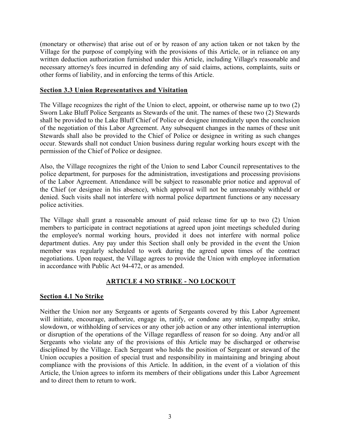(monetary or otherwise) that arise out of or by reason of any action taken or not taken by the Village for the purpose of complying with the provisions of this Article, or in reliance on any written deduction authorization furnished under this Article, including Village's reasonable and necessary attorney's fees incurred in defending any of said claims, actions, complaints, suits or other forms of liability, and in enforcing the terms of this Article.

#### **Section 3.3 Union Representatives and Visitation**

The Village recognizes the right of the Union to elect, appoint, or otherwise name up to two (2) Sworn Lake Bluff Police Sergeants as Stewards of the unit. The names of these two (2) Stewards shall be provided to the Lake Bluff Chief of Police or designee immediately upon the conclusion of the negotiation of this Labor Agreement. Any subsequent changes in the names of these unit Stewards shall also be provided to the Chief of Police or designee in writing as such changes occur. Stewards shall not conduct Union business during regular working hours except with the permission of the Chief of Police or designee.

Also, the Village recognizes the right of the Union to send Labor Council representatives to the police department, for purposes for the administration, investigations and processing provisions of the Labor Agreement. Attendance will be subject to reasonable prior notice and approval of the Chief (or designee in his absence), which approval will not be unreasonably withheld or denied. Such visits shall not interfere with normal police department functions or any necessary police activities.

The Village shall grant a reasonable amount of paid release time for up to two (2) Union members to participate in contract negotiations at agreed upon joint meetings scheduled during the employee's normal working hours, provided it does not interfere with normal police department duties. Any pay under this Section shall only be provided in the event the Union member was regularly scheduled to work during the agreed upon times of the contract negotiations. Upon request, the Village agrees to provide the Union with employee information in accordance with Public Act 94-472, or as amended.

#### **ARTICLE 4 NO STRIKE - NO LOCKOUT**

#### **Section 4.1 No Strike**

Neither the Union nor any Sergeants or agents of Sergeants covered by this Labor Agreement will initiate, encourage, authorize, engage in, ratify, or condone any strike, sympathy strike, slowdown, or withholding of services or any other job action or any other intentional interruption or disruption of the operations of the Village regardless of reason for so doing. Any and/or all Sergeants who violate any of the provisions of this Article may be discharged or otherwise disciplined by the Village. Each Sergeant who holds the position of Sergeant or steward of the Union occupies a position of special trust and responsibility in maintaining and bringing about compliance with the provisions of this Article. In addition, in the event of a violation of this Article, the Union agrees to inform its members of their obligations under this Labor Agreement and to direct them to return to work.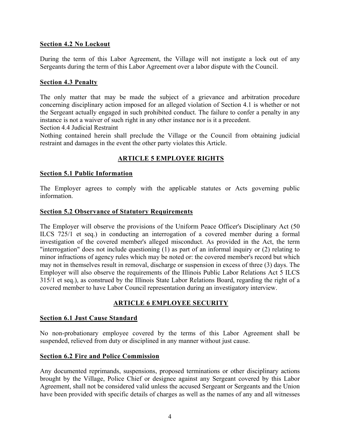#### **Section 4.2 No Lockout**

During the term of this Labor Agreement, the Village will not instigate a lock out of any Sergeants during the term of this Labor Agreement over a labor dispute with the Council.

#### **Section 4.3 Penalty**

The only matter that may be made the subject of a grievance and arbitration procedure concerning disciplinary action imposed for an alleged violation of Section 4.1 is whether or not the Sergeant actually engaged in such prohibited conduct. The failure to confer a penalty in any instance is not a waiver of such right in any other instance nor is it a precedent.

Section 4.4 Judicial Restraint

Nothing contained herein shall preclude the Village or the Council from obtaining judicial restraint and damages in the event the other party violates this Article.

#### **ARTICLE 5 EMPLOYEE RIGHTS**

#### **Section 5.1 Public Information**

The Employer agrees to comply with the applicable statutes or Acts governing public information.

#### **Section 5.2 Observance of Statutory Requirements**

The Employer will observe the provisions of the Uniform Peace Officer's Disciplinary Act (50 ILCS 725/1 et seq.) in conducting an interrogation of a covered member during a formal investigation of the covered member's alleged misconduct. As provided in the Act, the term "interrogation" does not include questioning (1) as part of an informal inquiry or (2) relating to minor infractions of agency rules which may be noted or: the covered member's record but which may not in themselves result in removal, discharge or suspension in excess of three (3) days. The Employer will also observe the requirements of the Illinois Public Labor Relations Act 5 ILCS 315/1 et seq.), as construed by the Illinois State Labor Relations Board, regarding the right of a covered member to have Labor Council representation during an investigatory interview.

#### **ARTICLE 6 EMPLOYEE SECURITY**

#### **Section 6.1 Just Cause Standard**

No non-probationary employee covered by the terms of this Labor Agreement shall be suspended, relieved from duty or disciplined in any manner without just cause.

#### **Section 6.2 Fire and Police Commission**

Any documented reprimands, suspensions, proposed terminations or other disciplinary actions brought by the Village, Police Chief or designee against any Sergeant covered by this Labor Agreement, shall not be considered valid unless the accused Sergeant or Sergeants and the Union have been provided with specific details of charges as well as the names of any and all witnesses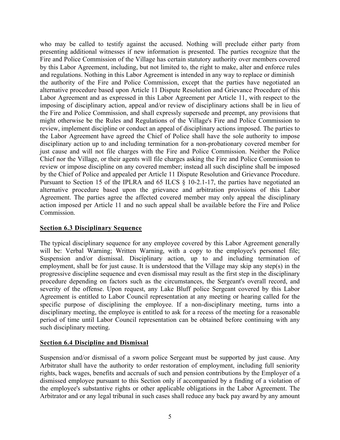who may be called to testify against the accused. Nothing will preclude either party from presenting additional witnesses if new information is presented. The parties recognize that the Fire and Police Commission of the Village has certain statutory authority over members covered by this Labor Agreement, including, but not limited to, the right to make, alter and enforce rules and regulations. Nothing in this Labor Agreement is intended in any way to replace or diminish the authority of the Fire and Police Commission, except that the parties have negotiated an alternative procedure based upon Article 11 Dispute Resolution and Grievance Procedure of this Labor Agreement and as expressed in this Labor Agreement per Article 11, with respect to the imposing of disciplinary action, appeal and/or review of disciplinary actions shall be in lieu of the Fire and Police Commission, and shall expressly supersede and preempt, any provisions that might otherwise be the Rules and Regulations of the Village's Fire and Police Commission to review, implement discipline or conduct an appeal of disciplinary actions imposed. The parties to the Labor Agreement have agreed the Chief of Police shall have the sole authority to impose disciplinary action up to and including termination for a non-probationary covered member for just cause and will not file charges with the Fire and Police Commission. Neither the Police Chief nor the Village, or their agents will file charges asking the Fire and Police Commission to review or impose discipline on any covered member; instead all such discipline shall be imposed by the Chief of Police and appealed per Article 11 Dispute Resolution and Grievance Procedure. Pursuant to Section 15 of the IPLRA and 65 ILCS § 10-2.1-17, the parties have negotiated an alternative procedure based upon the grievance and arbitration provisions of this Labor Agreement. The parties agree the affected covered member may only appeal the disciplinary action imposed per Article 11 and no such appeal shall be available before the Fire and Police Commission.

#### **Section 6.3 Disciplinary Sequence**

The typical disciplinary sequence for any employee covered by this Labor Agreement generally will be: Verbal Warning; Written Warning, with a copy to the employee's personnel file; Suspension and/or dismissal. Disciplinary action, up to and including termination of employment, shall be for just cause. It is understood that the Village may skip any step(s) in the progressive discipline sequence and even dismissal may result as the first step in the disciplinary procedure depending on factors such as the circumstances, the Sergeant's overall record, and severity of the offense. Upon request, any Lake Bluff police Sergeant covered by this Labor Agreement is entitled to Labor Council representation at any meeting or hearing called for the specific purpose of disciplining the employee. If a non-disciplinary meeting, turns into a disciplinary meeting, the employee is entitled to ask for a recess of the meeting for a reasonable period of time until Labor Council representation can be obtained before continuing with any such disciplinary meeting.

#### **Section 6.4 Discipline and Dismissal**

Suspension and/or dismissal of a sworn police Sergeant must be supported by just cause. Any Arbitrator shall have the authority to order restoration of employment, including full seniority rights, back wages, benefits and accruals of such and pension contributions by the Employer of a dismissed employee pursuant to this Section only if accompanied by a finding of a violation of the employee's substantive rights or other applicable obligations in the Labor Agreement. The Arbitrator and or any legal tribunal in such cases shall reduce any back pay award by any amount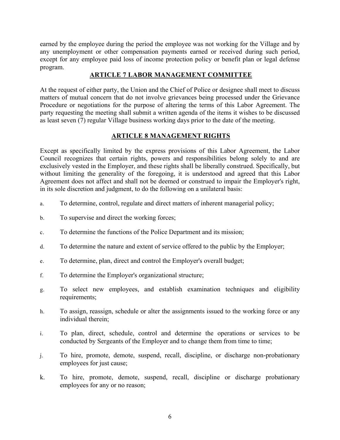earned by the employee during the period the employee was not working for the Village and by any unemployment or other compensation payments earned or received during such period, except for any employee paid loss of income protection policy or benefit plan or legal defense program.

#### **ARTICLE 7 LABOR MANAGEMENT COMMITTEE**

At the request of either party, the Union and the Chief of Police or designee shall meet to discuss matters of mutual concern that do not involve grievances being processed under the Grievance Procedure or negotiations for the purpose of altering the terms of this Labor Agreement. The party requesting the meeting shall submit a written agenda of the items it wishes to be discussed as least seven (7) regular Village business working days prior to the date of the meeting.

#### **ARTICLE 8 MANAGEMENT RIGHTS**

Except as specifically limited by the express provisions of this Labor Agreement, the Labor Council recognizes that certain rights, powers and responsibilities belong solely to and are exclusively vested in the Employer, and these rights shall be liberally construed. Specifically, but without limiting the generality of the foregoing, it is understood and agreed that this Labor Agreement does not affect and shall not be deemed or construed to impair the Employer's right, in its sole discretion and judgment, to do the following on a unilateral basis:

- a. To determine, control, regulate and direct matters of inherent managerial policy;
- b. To supervise and direct the working forces;
- c. To determine the functions of the Police Department and its mission;
- d. To determine the nature and extent of service offered to the public by the Employer;
- e. To determine, plan, direct and control the Employer's overall budget;
- f. To determine the Employer's organizational structure;
- g. To select new employees, and establish examination techniques and eligibility requirements;
- h. To assign, reassign, schedule or alter the assignments issued to the working force or any individual therein;
- i. To plan, direct, schedule, control and determine the operations or services to be conducted by Sergeants of the Employer and to change them from time to time;
- j. To hire, promote, demote, suspend, recall, discipline, or discharge non-probationary employees for just cause;
- k. To hire, promote, demote, suspend, recall, discipline or discharge probationary employees for any or no reason;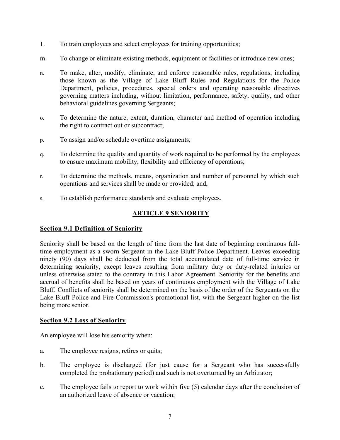- 1. To train employees and select employees for training opportunities;
- m. To change or eliminate existing methods, equipment or facilities or introduce new ones;
- n. To make, alter, modify, eliminate, and enforce reasonable rules, regulations, including those known as the Village of Lake Bluff Rules and Regulations for the Police Department, policies, procedures, special orders and operating reasonable directives governing matters including, without limitation, performance, safety, quality, and other behavioral guidelines governing Sergeants;
- o. To determine the nature, extent, duration, character and method of operation including the right to contract out or subcontract;
- p. To assign and/or schedule overtime assignments;
- q. To determine the quality and quantity of work required to be performed by the employees to ensure maximum mobility, flexibility and efficiency of operations;
- r. To determine the methods, means, organization and number of personnel by which such operations and services shall be made or provided; and,
- s. To establish performance standards and evaluate employees.

#### **ARTICLE 9 SENIORITY**

#### **Section 9.1 Definition of Seniority**

Seniority shall be based on the length of time from the last date of beginning continuous fulltime employment as a sworn Sergeant in the Lake Bluff Police Department. Leaves exceeding ninety (90) days shall be deducted from the total accumulated date of full-time service in determining seniority, except leaves resulting from military duty or duty-related injuries or unless otherwise stated to the contrary in this Labor Agreement. Seniority for the benefits and accrual of benefits shall be based on years of continuous employment with the Village of Lake Bluff. Conflicts of seniority shall be determined on the basis of the order of the Sergeants on the Lake Bluff Police and Fire Commission's promotional list, with the Sergeant higher on the list being more senior.

#### **Section 9.2 Loss of Seniority**

An employee will lose his seniority when:

- a. The employee resigns, retires or quits;
- b. The employee is discharged (for just cause for a Sergeant who has successfully completed the probationary period) and such is not overturned by an Arbitrator;
- c. The employee fails to report to work within five (5) calendar days after the conclusion of an authorized leave of absence or vacation;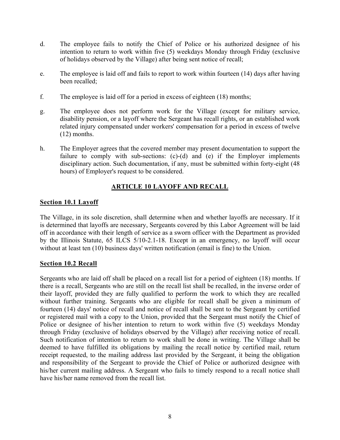- d. The employee fails to notify the Chief of Police or his authorized designee of his intention to return to work within five (5) weekdays Monday through Friday (exclusive of holidays observed by the Village) after being sent notice of recall;
- e. The employee is laid off and fails to report to work within fourteen (14) days after having been recalled;
- f. The employee is laid off for a period in excess of eighteen (18) months;
- g. The employee does not perform work for the Village (except for military service, disability pension, or a layoff where the Sergeant has recall rights, or an established work related injury compensated under workers' compensation for a period in excess of twelve (12) months.
- h. The Employer agrees that the covered member may present documentation to support the failure to comply with sub-sections: (c)-(d) and (e) if the Employer implements disciplinary action. Such documentation, if any, must be submitted within forty-eight (48 hours) of Employer's request to be considered.

#### **ARTICLE 10 LAYOFF AND RECALL**

#### **Section 10.1 Layoff**

The Village, in its sole discretion, shall determine when and whether layoffs are necessary. If it is determined that layoffs are necessary, Sergeants covered by this Labor Agreement will be laid off in accordance with their length of service as a sworn officer with the Department as provided by the Illinois Statute, 65 ILCS 5/10-2.1-18. Except in an emergency, no layoff will occur without at least ten (10) business days' written notification (email is fine) to the Union.

#### **Section 10.2 Recall**

Sergeants who are laid off shall be placed on a recall list for a period of eighteen (18) months. If there is a recall, Sergeants who are still on the recall list shall be recalled, in the inverse order of their layoff, provided they are fully qualified to perform the work to which they are recalled without further training. Sergeants who are eligible for recall shall be given a minimum of fourteen (14) days' notice of recall and notice of recall shall be sent to the Sergeant by certified or registered mail with a copy to the Union, provided that the Sergeant must notify the Chief of Police or designee of his/her intention to return to work within five (5) weekdays Monday through Friday (exclusive of holidays observed by the Village) after receiving notice of recall. Such notification of intention to return to work shall be done in writing. The Village shall be deemed to have fulfilled its obligations by mailing the recall notice by certified mail, return receipt requested, to the mailing address last provided by the Sergeant, it being the obligation and responsibility of the Sergeant to provide the Chief of Police or authorized designee with his/her current mailing address. A Sergeant who fails to timely respond to a recall notice shall have his/her name removed from the recall list.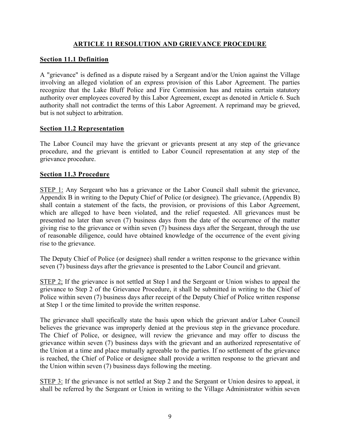#### **ARTICLE 11 RESOLUTION AND GRIEVANCE PROCEDURE**

#### **Section 11.1 Definition**

A "grievance" is defined as a dispute raised by a Sergeant and/or the Union against the Village involving an alleged violation of an express provision of this Labor Agreement. The parties recognize that the Lake Bluff Police and Fire Commission has and retains certain statutory authority over employees covered by this Labor Agreement, except as denoted in Article 6. Such authority shall not contradict the terms of this Labor Agreement. A reprimand may be grieved, but is not subject to arbitration.

#### **Section 11.2 Representation**

The Labor Council may have the grievant or grievants present at any step of the grievance procedure, and the grievant is entitled to Labor Council representation at any step of the grievance procedure.

#### **Section 11.3 Procedure**

STEP 1: Any Sergeant who has a grievance or the Labor Council shall submit the grievance, Appendix B in writing to the Deputy Chief of Police (or designee). The grievance, (Appendix B) shall contain a statement of the facts, the provision, or provisions of this Labor Agreement, which are alleged to have been violated, and the relief requested. All grievances must be presented no later than seven (7) business days from the date of the occurrence of the matter giving rise to the grievance or within seven (7) business days after the Sergeant, through the use of reasonable diligence, could have obtained knowledge of the occurrence of the event giving rise to the grievance.

The Deputy Chief of Police (or designee) shall render a written response to the grievance within seven (7) business days after the grievance is presented to the Labor Council and grievant.

STEP 2; If the grievance is not settled at Step l and the Sergeant or Union wishes to appeal the grievance to Step 2 of the Grievance Procedure, it shall be submitted in writing to the Chief of Police within seven (7) business days after receipt of the Deputy Chief of Police written response at Step 1 or the time limited to provide the written response.

The grievance shall specifically state the basis upon which the grievant and/or Labor Council believes the grievance was improperly denied at the previous step in the grievance procedure. The Chief of Police, or designee, will review the grievance and may offer to discuss the grievance within seven (7) business days with the grievant and an authorized representative of the Union at a time and place mutually agreeable to the parties. If no settlement of the grievance is reached, the Chief of Police or designee shall provide a written response to the grievant and the Union within seven (7) business days following the meeting.

STEP 3: If the grievance is not settled at Step 2 and the Sergeant or Union desires to appeal, it shall be referred by the Sergeant or Union in writing to the Village Administrator within seven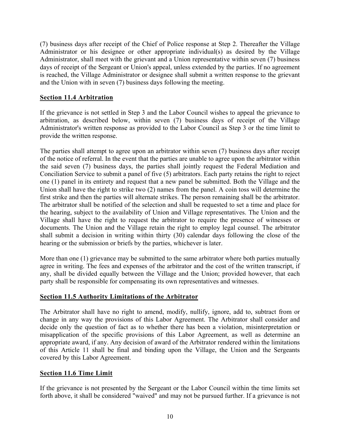(7) business days after receipt of the Chief of Police response at Step 2. Thereafter the Village Administrator or his designee or other appropriate individual(s) as desired by the Village Administrator, shall meet with the grievant and a Union representative within seven (7) business days of receipt of the Sergeant or Union's appeal, unless extended by the parties. If no agreement is reached, the Village Administrator or designee shall submit a written response to the grievant and the Union with in seven (7) business days following the meeting.

#### **Section 11.4 Arbitration**

If the grievance is not settled in Step 3 and the Labor Council wishes to appeal the grievance to arbitration, as described below, within seven (7) business days of receipt of the Village Administrator's written response as provided to the Labor Council as Step 3 or the time limit to provide the written response.

The parties shall attempt to agree upon an arbitrator within seven (7) business days after receipt of the notice of referral. In the event that the parties are unable to agree upon the arbitrator within the said seven (7) business days, the parties shall jointly request the Federal Mediation and Conciliation Service to submit a panel of five (5) arbitrators. Each party retains the right to reject one (1) panel in its entirety and request that a new panel be submitted. Both the Village and the Union shall have the right to strike two (2) names from the panel. A coin toss will determine the first strike and then the parties will alternate strikes. The person remaining shall be the arbitrator. The arbitrator shall be notified of the selection and shall be requested to set a time and place for the hearing, subject to the availability of Union and Village representatives. The Union and the Village shall have the right to request the arbitrator to require the presence of witnesses or documents. The Union and the Village retain the right to employ legal counsel. The arbitrator shall submit a decision in writing within thirty (30) calendar days following the close of the hearing or the submission or briefs by the parties, whichever is later.

More than one (1) grievance may be submitted to the same arbitrator where both parties mutually agree in writing. The fees and expenses of the arbitrator and the cost of the written transcript, if any, shall be divided equally between the Village and the Union; provided however, that each party shall be responsible for compensating its own representatives and witnesses.

#### **Section 11.5 Authority Limitations of the Arbitrator**

The Arbitrator shall have no right to amend, modify, nullify, ignore, add to, subtract from or change in any way the provisions of this Labor Agreement. The Arbitrator shall consider and decide only the question of fact as to whether there has been a violation, misinterpretation or misapplication of the specific provisions of this Labor Agreement, as well as determine an appropriate award, if any. Any decision of award of the Arbitrator rendered within the limitations of this Article 11 shall be final and binding upon the Village, the Union and the Sergeants covered by this Labor Agreement.

#### **Section 11.6 Time Limit**

If the grievance is not presented by the Sergeant or the Labor Council within the time limits set forth above, it shall be considered "waived" and may not be pursued further. If a grievance is not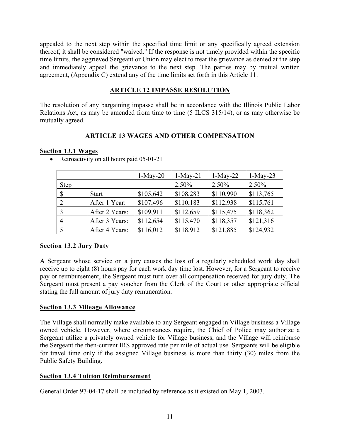appealed to the next step within the specified time limit or any specifically agreed extension thereof, it shall be considered "waived." If the response is not timely provided within the specific time limits, the aggrieved Sergeant or Union may elect to treat the grievance as denied at the step and immediately appeal the grievance to the next step. The parties may by mutual written agreement, (Appendix C) extend any of the time limits set forth in this Article 11.

#### **ARTICLE 12 IMPASSE RESOLUTION**

The resolution of any bargaining impasse shall be in accordance with the Illinois Public Labor Relations Act, as may be amended from time to time (5 ILCS 315/14), or as may otherwise be mutually agreed.

#### **ARTICLE 13 WAGES AND OTHER COMPENSATION**

#### **Section 13.1 Wages**

|                |                | $1-May-20$ | $1-May-21$ | $1-May-22$ | $1-May-23$ |
|----------------|----------------|------------|------------|------------|------------|
| <b>Step</b>    |                |            | $2.50\%$   | $2.50\%$   | 2.50%      |
| $\mathcal{S}$  | <b>Start</b>   | \$105,642  | \$108,283  | \$110,990  | \$113,765  |
| 2              | After 1 Year:  | \$107,496  | \$110,183  | \$112,938  | \$115,761  |
| $\overline{3}$ | After 2 Years: | \$109,911  | \$112,659  | \$115,475  | \$118,362  |
| $\overline{4}$ | After 3 Years: | \$112,654  | \$115,470  | \$118,357  | \$121,316  |
|                | After 4 Years: | \$116,012  | \$118,912  | \$121,885  | \$124,932  |

• Retroactivity on all hours paid 05-01-21

#### **Section 13.2 Jury Duty**

A Sergeant whose service on a jury causes the loss of a regularly scheduled work day shall receive up to eight (8) hours pay for each work day time lost. However, for a Sergeant to receive pay or reimbursement, the Sergeant must turn over all compensation received for jury duty. The Sergeant must present a pay voucher from the Clerk of the Court or other appropriate official stating the full amount of jury duty remuneration.

#### **Section 13.3 Mileage Allowance**

The Village shall normally make available to any Sergeant engaged in Village business a Village owned vehicle. However, where circumstances require, the Chief of Police may authorize a Sergeant utilize a privately owned vehicle for Village business, and the Village will reimburse the Sergeant the then-current IRS approved rate per mile of actual use. Sergeants will be eligible for travel time only if the assigned Village business is more than thirty (30) miles from the Public Safety Building.

#### **Section 13.4 Tuition Reimbursement**

General Order 97-04-17 shall be included by reference as it existed on May 1, 2003.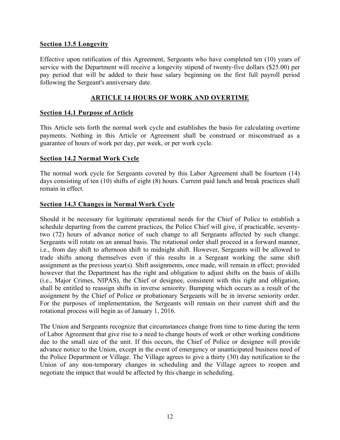#### **Section 13.5 Longevity**

Effective upon ratification of this Agreement, Sergeants who have completed ten (10) years of service with the Department will receive a longevity stipend of twenty-five dollars (\$25.00) per pay period that will be added to their base salary beginning on the first full payroll period following the Sergeant's anniversary date.

#### **ARTICLE 14 HOURS OF WORK AND OVERTIME**

#### **Section 14.1 Purpose of Article**

This Article sets forth the normal work cycle and establishes the basis for calculating overtime payments. Nothing in this Article or Agreement shall be construed or misconstrued as a guarantee of hours of work per day, per week, or per work cycle.

#### **Section 14.2 Normal Work Cycle**

The normal work cycle for Sergeants covered by this Labor Agreement shall be fourteen (14) days consisting of ten (10) shifts of eight (8) hours. Current paid lunch and break practices shall remain in effect.

#### **Section 14.3 Changes in Normal Work Cycle**

Should it be necessary for legitimate operational needs for the Chief of Police to establish a schedule departing from the current practices, the Police Chief will give, if practicable, seventytwo (72) hours of advance notice of such change to all Sergeants affected by such change. Sergeants will rotate on an annual basis. The rotational order shall proceed in a forward manner, i.e., from day shift to afternoon shift to midnight shift. However, Sergeants will be allowed to trade shifts among themselves even if this results in a Sergeant working the same shift assignment as the previous year(s). Shift assignments, once made, will remain in effect; provided however that the Department has the right and obligation to adjust shifts on the basis of skills (i.e., Major Crimes, NIPAS), the Chief or designee, consistent with this right and obligation, shall be entitled to reassign shifts in inverse seniority. Bumping which occurs as a result of the assignment by the Chief of Police or probationary Sergeants will be in inverse seniority order. For the purposes of implementation, the Sergeants will remain on their current shift and the rotational process will begin as of January 1, 2016.

The Union and Sergeants recognize that circumstances change from time to time during the term of Labor Agreement that give rise to a need to change hours of work or other working conditions due to the small size of the unit. If this occurs, the Chief of Police or designee will provide advance notice to the Union, except in the event of emergency or unanticipated business need of the Police Department or Village. The Village agrees to give a thirty (30) day notification to the Union of any non-temporary changes in scheduling and the Village agrees to reopen and negotiate the impact that would be affected by this change in scheduling.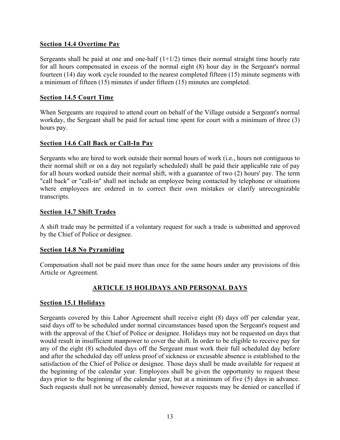#### **Section 14.4 Overtime Pay**

Sergeants shall be paid at one and one-half  $(1+1/2)$  times their normal straight time hourly rate for all hours compensated in excess of the normal eight (8) hour day in the Sergeant's normal fourteen (14) day work cycle rounded to the nearest completed fifteen (15) minute segments with a minimum of fifteen (15) minutes if under fifteen (15) minutes are completed.

#### **Section 14.5 Court Time**

When Sergeants are required to attend court on behalf of the Village outside a Sergeant's normal workday, the Sergeant shall be paid for actual time spent for court with a minimum of three (3) hours pay.

#### **Section 14.6 Call Back or Call-In Pay**

Sergeants who are hired to work outside their normal hours of work (i.e., hours not contiguous to their normal shift or on a day not regularly scheduled) shall be paid their applicable rate of pay for all hours worked outside their normal shift, with a guarantee of two (2) hours' pay. The term "call back" or "call-in" shall not include an employee being contacted by telephone or situations where employees are ordered in to correct their own mistakes or clarify unrecognizable transcripts.

#### **Section 14.7 Shift Trades**

A shift trade may be permitted if a voluntary request for such a trade is submitted and approved by the Chief of Police or designee.

#### **Section 14.8 No Pyramiding**

Compensation shall not be paid more than once for the same hours under any provisions of this Article or Agreement.

#### **ARTICLE 15 HOLIDAYS AND PERSONAL DAYS**

#### **Section 15.1 Holidays**

Sergeants covered by this Labor Agreement shall receive eight (8) days off per calendar year, said days off to be scheduled under normal circumstances based upon the Sergeant's request and with the approval of the Chief of Police or designee. Holidays may not be requested on days that would result in insufficient manpower to cover the shift. In order to be eligible to receive pay for any of the eight (8) scheduled days off the Sergeant must work their full scheduled day before and after the scheduled day off unless proof of sickness or excusable absence is established to the satisfaction of the Chief of Police or designee. Those days shall be made available for request at the beginning of the calendar year. Employees shall be given the opportunity to request these days prior to the beginning of the calendar year, but at a minimum of five (5) days in advance. Such requests shall not be unreasonably denied, however requests may be denied or cancelled if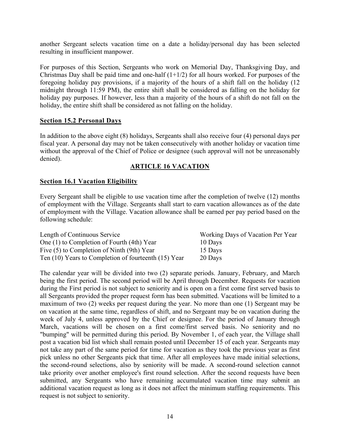another Sergeant selects vacation time on a date a holiday/personal day has been selected resulting in insufficient manpower.

For purposes of this Section, Sergeants who work on Memorial Day, Thanksgiving Day, and Christmas Day shall be paid time and one-half  $(1+1/2)$  for all hours worked. For purposes of the foregoing holiday pay provisions, if a majority of the hours of a shift fall on the holiday (12 midnight through 11:59 PM), the entire shift shall be considered as falling on the holiday for holiday pay purposes. If however, less than a majority of the hours of a shift do not fall on the holiday, the entire shift shall be considered as not falling on the holiday.

#### **Section 15.2 Personal Days**

In addition to the above eight (8) holidays, Sergeants shall also receive four (4) personal days per fiscal year. A personal day may not be taken consecutively with another holiday or vacation time without the approval of the Chief of Police or designee (such approval will not be unreasonably denied).

#### **ARTICLE 16 VACATION**

#### **Section 16.1 Vacation Eligibility**

Every Sergeant shall be eligible to use vacation time after the completion of twelve (12) months of employment with the Village. Sergeants shall start to earn vacation allowances as of the date of employment with the Village. Vacation allowance shall be earned per pay period based on the following schedule:

| Length of Continuous Service                             | Working Days of Vacation Per Year |
|----------------------------------------------------------|-----------------------------------|
| One (1) to Completion of Fourth (4th) Year               | 10 Days                           |
| Five (5) to Completion of Ninth (9th) Year               | 15 Days                           |
| Ten $(10)$ Years to Completion of fourteenth $(15)$ Year | 20 Days                           |

The calendar year will be divided into two (2) separate periods. January, February, and March being the first period. The second period will be April through December. Requests for vacation during the First period is not subject to seniority and is open on a first come first served basis to all Sergeants provided the proper request form has been submitted. Vacations will be limited to a maximum of two (2) weeks per request during the year. No more than one (1) Sergeant may be on vacation at the same time, regardless of shift, and no Sergeant may be on vacation during the week of July 4, unless approved by the Chief or designee. For the period of January through March, vacations will be chosen on a first come/first served basis. No seniority and no "bumping" will be permitted during this period. By November 1, of each year, the Village shall post a vacation bid list which shall remain posted until December 15 of each year. Sergeants may not take any part of the same period for time for vacation as they took the previous year as first pick unless no other Sergeants pick that time. After all employees have made initial selections, the second-round selections, also by seniority will be made. A second-round selection cannot take priority over another employee's first round selection. After the second requests have been submitted, any Sergeants who have remaining accumulated vacation time may submit an additional vacation request as long as it does not affect the minimum staffing requirements. This request is not subject to seniority.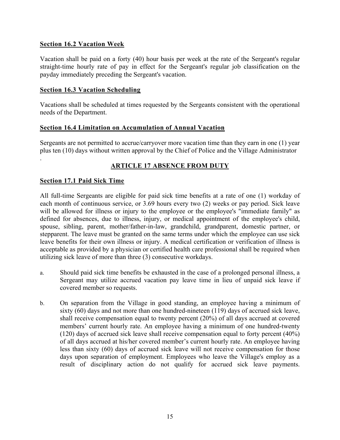#### **Section 16.2 Vacation Week**

Vacation shall be paid on a forty (40) hour basis per week at the rate of the Sergeant's regular straight-time hourly rate of pay in effect for the Sergeant's regular job classification on the payday immediately preceding the Sergeant's vacation.

#### **Section 16.3 Vacation Scheduling**

Vacations shall be scheduled at times requested by the Sergeants consistent with the operational needs of the Department.

#### **Section 16.4 Limitation on Accumulation of Annual Vacation**

Sergeants are not permitted to accrue/carryover more vacation time than they earn in one (1) year plus ten (10) days without written approval by the Chief of Police and the Village Administrator

#### **ARTICLE 17 ABSENCE FROM DUTY**

#### **Section 17.1 Paid Sick Time**

.

All full-time Sergeants are eligible for paid sick time benefits at a rate of one (1) workday of each month of continuous service, or 3.69 hours every two (2) weeks or pay period. Sick leave will be allowed for illness or injury to the employee or the employee's "immediate family" as defined for absences, due to illness, injury, or medical appointment of the employee's child, spouse, sibling, parent, mother/father-in-law, grandchild, grandparent, domestic partner, or stepparent. The leave must be granted on the same terms under which the employee can use sick leave benefits for their own illness or injury. A medical certification or verification of illness is acceptable as provided by a physician or certified health care professional shall be required when utilizing sick leave of more than three (3) consecutive workdays.

- a. Should paid sick time benefits be exhausted in the case of a prolonged personal illness, a Sergeant may utilize accrued vacation pay leave time in lieu of unpaid sick leave if covered member so requests.
- b. On separation from the Village in good standing, an employee having a minimum of sixty (60) days and not more than one hundred-nineteen (119) days of accrued sick leave, shall receive compensation equal to twenty percent (20%) of all days accrued at covered members' current hourly rate. An employee having a minimum of one hundred-twenty (120) days of accrued sick leave shall receive compensation equal to forty percent (40%) of all days accrued at his/her covered member's current hourly rate. An employee having less than sixty (60) days of accrued sick leave will not receive compensation for those days upon separation of employment. Employees who leave the Village's employ as a result of disciplinary action do not qualify for accrued sick leave payments.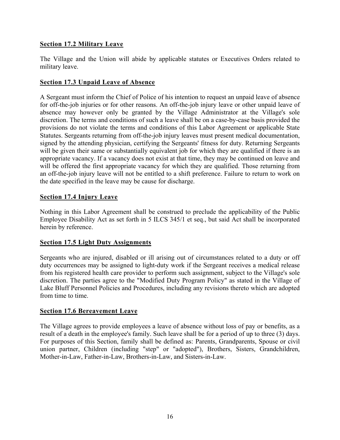#### **Section 17.2 Military Leave**

The Village and the Union will abide by applicable statutes or Executives Orders related to military leave.

#### **Section 17.3 Unpaid Leave of Absence**

A Sergeant must inform the Chief of Police of his intention to request an unpaid leave of absence for off-the-job injuries or for other reasons. An off-the-job injury leave or other unpaid leave of absence may however only be granted by the Village Administrator at the Village's sole discretion. The terms and conditions of such a leave shall be on a case-by-case basis provided the provisions do not violate the terms and conditions of this Labor Agreement or applicable State Statutes. Sergeants returning from off-the-job injury leaves must present medical documentation, signed by the attending physician, certifying the Sergeants' fitness for duty. Returning Sergeants will be given their same or substantially equivalent job for which they are qualified if there is an appropriate vacancy. If a vacancy does not exist at that time, they may be continued on leave and will be offered the first appropriate vacancy for which they are qualified. Those returning from an off-the-job injury leave will not be entitled to a shift preference. Failure to return to work on the date specified in the leave may be cause for discharge.

#### **Section 17.4 Injury Leave**

Nothing in this Labor Agreement shall be construed to preclude the applicability of the Public Employee Disability Act as set forth in 5 ILCS 345/1 et seq., but said Act shall be incorporated herein by reference.

#### **Section 17.5 Light Duty Assignments**

Sergeants who are injured, disabled or ill arising out of circumstances related to a duty or off duty occurrences may be assigned to light-duty work if the Sergeant receives a medical release from his registered health care provider to perform such assignment, subject to the Village's sole discretion. The parties agree to the "Modified Duty Program Policy" as stated in the Village of Lake Bluff Personnel Policies and Procedures, including any revisions thereto which are adopted from time to time.

#### **Section 17.6 Bereavement Leave**

The Village agrees to provide employees a leave of absence without loss of pay or benefits, as a result of a death in the employee's family. Such leave shall be for a period of up to three (3) days. For purposes of this Section, family shall be defined as: Parents, Grandparents, Spouse or civil union partner, Children (including "step" or "adopted"), Brothers, Sisters, Grandchildren, Mother-in-Law, Father-in-Law, Brothers-in-Law, and Sisters-in-Law.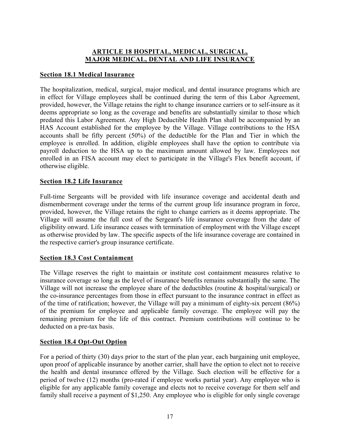#### **ARTICLE 18 HOSPITAL, MEDICAL, SURGICAL, MAJOR MEDICAL, DENTAL AND LIFE INSURANCE**

#### **Section 18.1 Medical Insurance**

The hospitalization, medical, surgical, major medical, and dental insurance programs which are in effect for Village employees shall be continued during the term of this Labor Agreement, provided, however, the Village retains the right to change insurance carriers or to self-insure as it deems appropriate so long as the coverage and benefits are substantially similar to those which predated this Labor Agreement. Any High Deductible Health Plan shall be accompanied by an HAS Account established for the employee by the Village. Village contributions to the HSA accounts shall be fifty percent (50%) of the deductible for the Plan and Tier in which the employee is enrolled. In addition, eligible employees shall have the option to contribute via payroll deduction to the HSA up to the maximum amount allowed by law. Employees not enrolled in an FISA account may elect to participate in the Village's Flex benefit account, if otherwise eligible.

#### **Section 18.2 Life Insurance**

Full-time Sergeants will be provided with life insurance coverage and accidental death and dismemberment coverage under the terms of the current group life insurance program in force, provided, however, the Village retains the right to change carriers as it deems appropriate. The Village will assume the full cost of the Sergeant's life insurance coverage from the date of eligibility onward. Life insurance ceases with termination of employment with the Village except as otherwise provided by law. The specific aspects of the life insurance coverage are contained in the respective carrier's group insurance certificate.

#### **Section 18.3 Cost Containment**

The Village reserves the right to maintain or institute cost containment measures relative to insurance coverage so long as the level of insurance benefits remains substantially the same. The Village will not increase the employee share of the deductibles (routine & hospital/surgical) or the co-insurance percentages from those in effect pursuant to the insurance contract in effect as of the time of ratification; however, the Village will pay a minimum of eighty-six percent (86%) of the premium for employee and applicable family coverage. The employee will pay the remaining premium for the life of this contract. Premium contributions will continue to be deducted on a pre-tax basis.

#### **Section 18.4 Opt-Out Option**

For a period of thirty (30) days prior to the start of the plan year, each bargaining unit employee, upon proof of applicable insurance by another carrier, shall have the option to elect not to receive the health and dental insurance offered by the Village. Such election will be effective for a period of twelve (12) months (pro-rated if employee works partial year). Any employee who is eligible for any applicable family coverage and elects not to receive coverage for them self and family shall receive a payment of \$1,250. Any employee who is eligible for only single coverage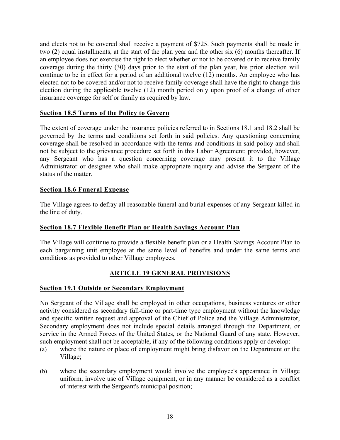and elects not to be covered shall receive a payment of \$725. Such payments shall be made in two (2) equal installments, at the start of the plan year and the other six (6) months thereafter. If an employee does not exercise the right to elect whether or not to be covered or to receive family coverage during the thirty (30) days prior to the start of the plan year, his prior election will continue to be in effect for a period of an additional twelve (12) months. An employee who has elected not to be covered and/or not to receive family coverage shall have the right to change this election during the applicable twelve (12) month period only upon proof of a change of other insurance coverage for self or family as required by law.

#### **Section 18.5 Terms of the Policy to Govern**

The extent of coverage under the insurance policies referred to in Sections 18.1 and 18.2 shall be governed by the terms and conditions set forth in said policies. Any questioning concerning coverage shall be resolved in accordance with the terms and conditions in said policy and shall not be subject to the grievance procedure set forth in this Labor Agreement; provided, however, any Sergeant who has a question concerning coverage may present it to the Village Administrator or designee who shall make appropriate inquiry and advise the Sergeant of the status of the matter.

#### **Section 18.6 Funeral Expense**

The Village agrees to defray all reasonable funeral and burial expenses of any Sergeant killed in the line of duty.

#### **Section 18.7 Flexible Benefit Plan or Health Sayings Account Plan**

The Village will continue to provide a flexible benefit plan or a Health Savings Account Plan to each bargaining unit employee at the same level of benefits and under the same terms and conditions as provided to other Village employees.

#### **ARTICLE 19 GENERAL PROVISIONS**

#### **Section 19.1 Outside or Secondary Employment**

No Sergeant of the Village shall be employed in other occupations, business ventures or other activity considered as secondary full-time or part-time type employment without the knowledge and specific written request and approval of the Chief of Police and the Village Administrator, Secondary employment does not include special details arranged through the Department, or service in the Armed Forces of the United States, or the National Guard of any state. However, such employment shall not be acceptable, if any of the following conditions apply or develop:

- (a) where the nature or place of employment might bring disfavor on the Department or the Village;
- (b) where the secondary employment would involve the employee's appearance in Village uniform, involve use of Village equipment, or in any manner be considered as a conflict of interest with the Sergeant's municipal position;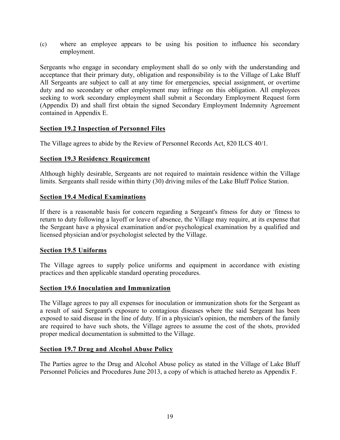(c) where an employee appears to be using his position to influence his secondary employment.

Sergeants who engage in secondary employment shall do so only with the understanding and acceptance that their primary duty, obligation and responsibility is to the Village of Lake Bluff All Sergeants are subject to call at any time for emergencies, special assignment, or overtime duty and no secondary or other employment may infringe on this obligation. All employees seeking to work secondary employment shall submit a Secondary Employment Request form (Appendix D) and shall first obtain the signed Secondary Employment Indemnity Agreement contained in Appendix E.

#### **Section 19.2 Inspection of Personnel Files**

The Village agrees to abide by the Review of Personnel Records Act, 820 ILCS 40/1.

#### **Section 19.3 Residency Requirement**

Although highly desirable, Sergeants are not required to maintain residence within the Village limits. Sergeants shall reside within thirty (30) driving miles of the Lake Bluff Police Station.

#### **Section 19.4 Medical Examinations**

If there is a reasonable basis for concern regarding a Sergeant's fitness for duty or - fitness to return to duty following a layoff or leave of absence, the Village may require, at its expense that the Sergeant have a physical examination and/or psychological examination by a qualified and licensed physician and/or psychologist selected by the Village.

#### **Section 19.5 Uniforms**

The Village agrees to supply police uniforms and equipment in accordance with existing practices and then applicable standard operating procedures.

#### **Section 19.6 Inoculation and Immunization**

The Village agrees to pay all expenses for inoculation or immunization shots for the Sergeant as a result of said Sergeant's exposure to contagious diseases where the said Sergeant has been exposed to said disease in the line of duty. If in a physician's opinion, the members of the family are required to have such shots, the Village agrees to assume the cost of the shots, provided proper medical documentation is submitted to the Village.

#### **Section 19.7 Drug and Alcohol Abuse Policy**

The Parties agree to the Drug and Alcohol Abuse policy as stated in the Village of Lake Bluff Personnel Policies and Procedures June 2013, a copy of which is attached hereto as Appendix F.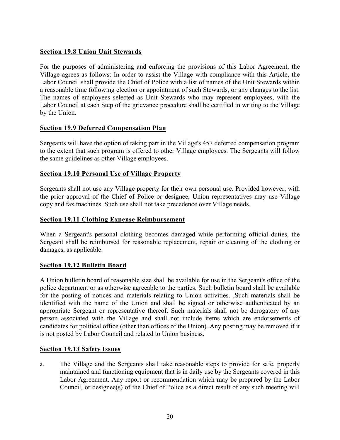#### **Section 19.8 Union Unit Stewards**

For the purposes of administering and enforcing the provisions of this Labor Agreement, the Village agrees as follows: In order to assist the Village with compliance with this Article, the Labor Council shall provide the Chief of Police with a list of names of the Unit Stewards within a reasonable time following election or appointment of such Stewards, or any changes to the list. The names of employees selected as Unit Stewards who may represent employees, with the Labor Council at each Step of the grievance procedure shall be certified in writing to the Village by the Union.

#### **Section 19.9 Deferred Compensation Plan**

Sergeants will have the option of taking part in the Village's 457 deferred compensation program to the extent that such program is offered to other Village employees. The Sergeants will follow the same guidelines as other Village employees.

#### **Section 19.10 Personal Use of Village Property**

Sergeants shall not use any Village property for their own personal use. Provided however, with the prior approval of the Chief of Police or designee, Union representatives may use Village copy and fax machines. Such use shall not take precedence over Village needs.

#### **Section 19.11 Clothing Expense Reimbursement**

When a Sergeant's personal clothing becomes damaged while performing official duties, the Sergeant shall be reimbursed for reasonable replacement, repair or cleaning of the clothing or damages, as applicable.

#### **Section 19.12 Bulletin Board**

A Union bulletin board of reasonable size shall be available for use in the Sergeant's office of the police department or as otherwise agreeable to the parties. Such bulletin board shall be available for the posting of notices and materials relating to Union activities. ,Such materials shall be identified with the name of the Union and shall be signed or otherwise authenticated by an appropriate Sergeant or representative thereof. Such materials shall not be derogatory of any person associated with the Village and shall not include items which are endorsements of candidates for political office (other than offices of the Union). Any posting may be removed if it is not posted by Labor Council and related to Union business.

#### **Section 19.13 Safety Issues**

a. The Village and the Sergeants shall take reasonable steps to provide for safe, properly maintained and functioning equipment that is in daily use by the Sergeants covered in this Labor Agreement. Any report or recommendation which may be prepared by the Labor Council, or designee(s) of the Chief of Police as a direct result of any such meeting will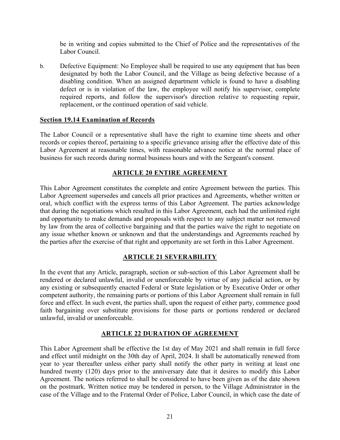be in writing and copies submitted to the Chief of Police and the representatives of the Labor Council.

b. Defective Equipment: No Employee shall be required to use any equipment that has been designated by both the Labor Council, and the Village as being defective because of a disabling condition. When an assigned department vehicle is found to have a disabling defect or is in violation of the law, the employee will notify his supervisor, complete required reports, and follow the supervisor's direction relative to requesting repair, replacement, or the continued operation of said vehicle.

#### **Section 19.14 Examination of Records**

The Labor Council or a representative shall have the right to examine time sheets and other records or copies thereof, pertaining to a specific grievance arising after the effective date of this Labor Agreement at reasonable times, with reasonable advance notice at the normal place of business for such records during normal business hours and with the Sergeant's consent.

#### **ARTICLE 20 ENTIRE AGREEMENT**

This Labor Agreement constitutes the complete and entire Agreement between the parties. This Labor Agreement supersedes and cancels all prior practices and Agreements, whether written or oral, which conflict with the express terms of this Labor Agreement. The parties acknowledge that during the negotiations which resulted in this Labor Agreement, each had the unlimited right and opportunity to make demands and proposals with respect to any subject matter not removed by law from the area of collective bargaining and that the parties waive the right to negotiate on any issue whether known or unknown and that the understandings and Agreements reached by the parties after the exercise of that right and opportunity are set forth in this Labor Agreement.

#### **ARTICLE 21 SEVERABILITY**

In the event that any Article, paragraph, section or sub-section of this Labor Agreement shall be rendered or declared unlawful, invalid or unenforceable by virtue of any judicial action, or by any existing or subsequently enacted Federal or State legislation or by Executive Order or other competent authority, the remaining parts or portions of this Labor Agreement shall remain in full force and effect. In such event, the parties shall, upon the request of either party, commence good faith bargaining over substitute provisions for those parts or portions rendered or declared unlawful, invalid or unenforceable.

#### **ARTICLE 22 DURATION OF AGREEMENT**

This Labor Agreement shall be effective the 1st day of May 2021 and shall remain in full force and effect until midnight on the 30th day of April, 2024. It shall be automatically renewed from year to year thereafter unless either party shall notify the other party in writing at least one hundred twenty (120) days prior to the anniversary date that it desires to modify this Labor Agreement. The notices referred to shall be considered to have been given as of the date shown on the postmark. Written notice may be tendered in person, to the Village Administrator in the case of the Village and to the Fraternal Order of Police, Labor Council, in which case the date of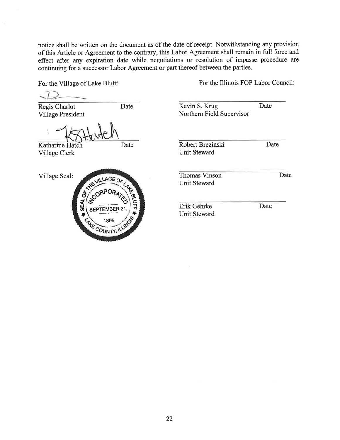notice shall be written on the document as of the date of receipt. Notwithstanding any provision of this Article or Agreement to the contrary, this Labor Agreement shall remain in full force and effect after any expiration date while negotiations or resolution of impasse procedure are continuing for a successor Labor Agreement or part thereof between the parties.

For the Village of Lake Bluff:

Regis Charlot Village President

Date

Katharine Hatch Village Clerk

Village Seal:



Date

For the Illinois FOP Labor Council:

Kevin S. Krug Date Northern Field Supervisor

Robert Brezinski Unit Steward

**Thomas Vinson** Unit Steward

Erik Gehrke **Unit Steward**  Date

Date

Date

22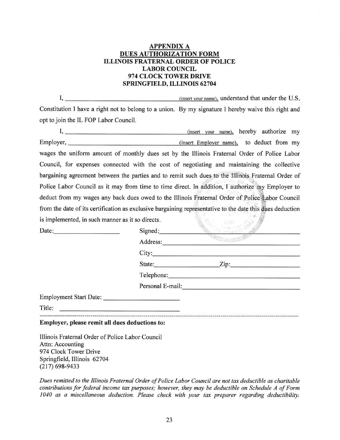#### **APPENDIX A DUES AUTHORIZATION FORM ILLINOIS FRATERNAL ORDER OF POLICE LABOR COUNCIL** 974 CLOCK TOWER DRIVE SPRINGFIELD, ILLINOIS 62704

 $I,$ (insert your name), understand that under the U.S. Constitution I have a right not to belong to a union. By my signature I hereby waive this right and opt to join the IL FOP Labor Council.

|                                                                                                                                                                                                                                                                                                                                                                                                              |         | (insert your name), hereby authorize my |  |  |
|--------------------------------------------------------------------------------------------------------------------------------------------------------------------------------------------------------------------------------------------------------------------------------------------------------------------------------------------------------------------------------------------------------------|---------|-----------------------------------------|--|--|
|                                                                                                                                                                                                                                                                                                                                                                                                              |         |                                         |  |  |
| wages the uniform amount of monthly dues set by the Illinois Fraternal Order of Police Labor                                                                                                                                                                                                                                                                                                                 |         |                                         |  |  |
| Council, for expenses connected with the cost of negotiating and maintaining the collective                                                                                                                                                                                                                                                                                                                  |         |                                         |  |  |
| bargaining agreement between the parties and to remit such dues to the Illinois Fraternal Order of                                                                                                                                                                                                                                                                                                           |         |                                         |  |  |
| Police Labor Council as it may from time to time direct. In addition, I authorize my Employer to                                                                                                                                                                                                                                                                                                             |         |                                         |  |  |
| deduct from my wages any back dues owed to the Illinois Fraternal Order of Police Labor Council                                                                                                                                                                                                                                                                                                              |         |                                         |  |  |
| from the date of its certification as exclusive bargaining representative to the date this dues deduction                                                                                                                                                                                                                                                                                                    |         |                                         |  |  |
| is implemented, in such manner as it so directs.                                                                                                                                                                                                                                                                                                                                                             |         |                                         |  |  |
|                                                                                                                                                                                                                                                                                                                                                                                                              | Signed: |                                         |  |  |
|                                                                                                                                                                                                                                                                                                                                                                                                              |         | Address:                                |  |  |
|                                                                                                                                                                                                                                                                                                                                                                                                              |         | City:                                   |  |  |
|                                                                                                                                                                                                                                                                                                                                                                                                              |         | State: <u>Zip:</u> Zip:                 |  |  |
|                                                                                                                                                                                                                                                                                                                                                                                                              |         |                                         |  |  |
|                                                                                                                                                                                                                                                                                                                                                                                                              |         |                                         |  |  |
| Employment Start Date:                                                                                                                                                                                                                                                                                                                                                                                       |         |                                         |  |  |
| Title: $\frac{1}{\sqrt{1-\frac{1}{2}}\sqrt{1-\frac{1}{2}}\sqrt{1-\frac{1}{2}}\sqrt{1-\frac{1}{2}}\sqrt{1-\frac{1}{2}}\sqrt{1-\frac{1}{2}}\sqrt{1-\frac{1}{2}}\sqrt{1-\frac{1}{2}}\sqrt{1-\frac{1}{2}}\sqrt{1-\frac{1}{2}}\sqrt{1-\frac{1}{2}}\sqrt{1-\frac{1}{2}}\sqrt{1-\frac{1}{2}}\sqrt{1-\frac{1}{2}}\sqrt{1-\frac{1}{2}}\sqrt{1-\frac{1}{2}}\sqrt{1-\frac{1}{2}}\sqrt{1-\frac{1}{2}}\sqrt{1-\frac{1}{2$ |         |                                         |  |  |
| Employer, please remit all dues deductions to:                                                                                                                                                                                                                                                                                                                                                               |         |                                         |  |  |

Illinois Fraternal Order of Police Labor Council Attn: Accounting 974 Clock Tower Drive Springfield, Illinois 62704  $(217)$  698-9433

Dues remitted to the Illinois Fraternal Order of Police Labor Council are not tax deductible as charitable contributions for federal income tax purposes; however, they may be deductible on Schedule A of Form 1040 as a miscellaneous deduction. Please check with your tax preparer regarding deductibility.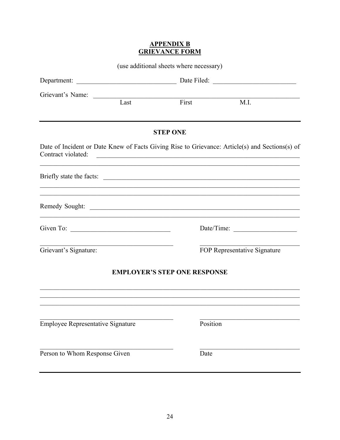#### **APPENDIX B GRIEVANCE FORM**

|                                          |                                                                            | (use additional sheets where necessary) |                                                                                                                                                                                                                         |
|------------------------------------------|----------------------------------------------------------------------------|-----------------------------------------|-------------------------------------------------------------------------------------------------------------------------------------------------------------------------------------------------------------------------|
|                                          |                                                                            |                                         |                                                                                                                                                                                                                         |
| Grievant's Name:                         |                                                                            | Last First                              | <b>M.I.</b>                                                                                                                                                                                                             |
|                                          |                                                                            | <b>STEP ONE</b>                         |                                                                                                                                                                                                                         |
| Contract violated:                       |                                                                            |                                         | Date of Incident or Date Knew of Facts Giving Rise to Grievance: Article(s) and Sections(s) of<br><u> 1988 - Johann Harry Harry Harry Harry Harry Harry Harry Harry Harry Harry Harry Harry Harry Harry Harry Harry</u> |
|                                          |                                                                            |                                         | ,我们也不能在这里的时候,我们也不能在这里的时候,我们也不能会在这里的时候,我们也不能会在这里的时候,我们也不能会在这里的时候,我们也不能会在这里的时候,我们也不                                                                                                                                       |
|                                          |                                                                            |                                         |                                                                                                                                                                                                                         |
| Given To: $\qquad \qquad$                |                                                                            |                                         |                                                                                                                                                                                                                         |
| Grievant's Signature:                    | the control of the control of the control of the control of the control of |                                         | FOP Representative Signature                                                                                                                                                                                            |
|                                          |                                                                            | <b>EMPLOYER'S STEP ONE RESPONSE</b>     |                                                                                                                                                                                                                         |
|                                          |                                                                            |                                         |                                                                                                                                                                                                                         |
| <b>Employee Representative Signature</b> |                                                                            | Position                                |                                                                                                                                                                                                                         |
| Person to Whom Response Given            |                                                                            | Date                                    |                                                                                                                                                                                                                         |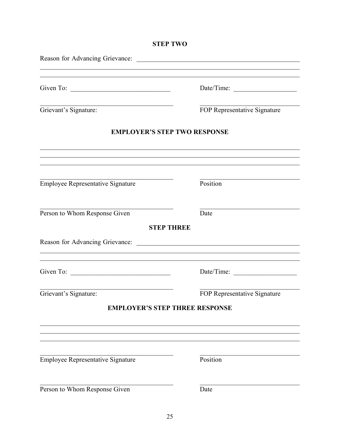## Date/Time: FOP Representative Signature Grievant's Signature: **EMPLOYER'S STEP TWO RESPONSE Employee Representative Signature**  $\overline{\text{Position}}$ Person to Whom Response Given Date

#### **STEP THREE**

Given To:  $\overline{\phantom{a}}$ 

Grievant's Signature:

#### **EMPLOYER'S STEP THREE RESPONSE**

Person to Whom Response Given

**Employee Representative Signature** 

Date

Position

FOP Representative Signature

**STEP TWO** 

Date/Time: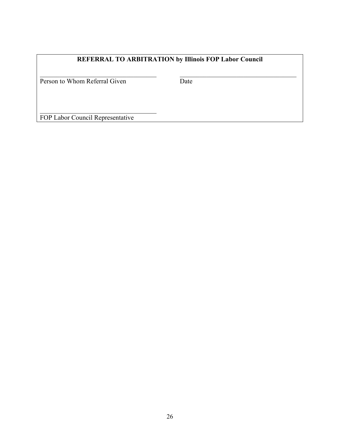### **REFERRAL TO ARBITRATION by Illinois FOP Labor Council**

Person to Whom Referral Given Date

FOP Labor Council Representative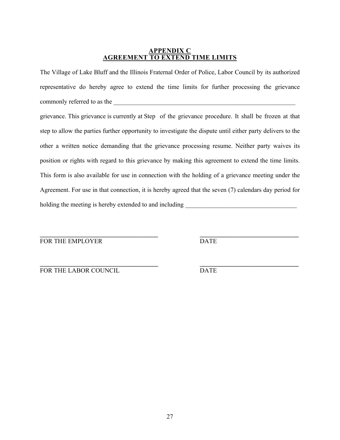#### **APPENDIX C AGREEMENT TO EXTEND TIME LIMITS**

The Village of Lake Bluff and the Illinois Fraternal Order of Police, Labor Council by its authorized representative do hereby agree to extend the time limits for further processing the grievance commonly referred to as the

grievance. This grievance is currently at Step of the grievance procedure. It shall be frozen at that step to allow the parties further opportunity to investigate the dispute until either party delivers to the other a written notice demanding that the grievance processing resume. Neither party waives its position or rights with regard to this grievance by making this agreement to extend the time limits. This form is also available for use in connection with the holding of a grievance meeting under the Agreement. For use in that connection, it is hereby agreed that the seven (7) calendars day period for holding the meeting is hereby extended to and including

**\_\_\_\_\_\_\_\_\_\_\_\_\_\_\_\_\_\_\_\_\_\_\_\_\_\_\_\_\_\_\_\_\_\_\_\_\_ \_\_\_\_\_\_\_\_\_\_\_\_\_\_\_\_\_\_\_\_\_\_\_\_\_\_\_\_\_\_\_** FOR THE EMPLOYER DATE

| FOR THE LABOR COUNCIL | DATE |  |
|-----------------------|------|--|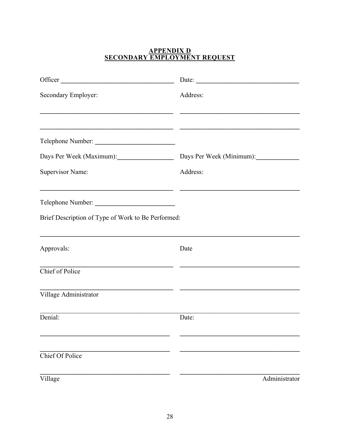## **APPENDIX D<br>SECONDARY EMPLOYMENT REQUEST**

| Officer <u>and</u> the contract of the contract of the contract of the contract of the contract of the contract of the contract of the contract of the contract of the contract of the contract of the contract of the contract of | Date: $\frac{1}{\sqrt{1-\frac{1}{2}} \cdot \frac{1}{2}}$ |
|------------------------------------------------------------------------------------------------------------------------------------------------------------------------------------------------------------------------------------|----------------------------------------------------------|
| Secondary Employer:                                                                                                                                                                                                                | Address:                                                 |
|                                                                                                                                                                                                                                    |                                                          |
|                                                                                                                                                                                                                                    |                                                          |
| Days Per Week (Maximum):                                                                                                                                                                                                           | Days Per Week (Minimum):                                 |
| <b>Supervisor Name:</b>                                                                                                                                                                                                            | Address:                                                 |
| <u> 1989 - Johann Stoff, amerikansk politiker (* 1908)</u>                                                                                                                                                                         |                                                          |
| Brief Description of Type of Work to Be Performed:                                                                                                                                                                                 |                                                          |
| Approvals:                                                                                                                                                                                                                         | Date                                                     |
| Chief of Police                                                                                                                                                                                                                    |                                                          |
| Village Administrator                                                                                                                                                                                                              |                                                          |
| Denial:                                                                                                                                                                                                                            | Date:                                                    |
| Chief Of Police                                                                                                                                                                                                                    |                                                          |
| Village                                                                                                                                                                                                                            | Administrator                                            |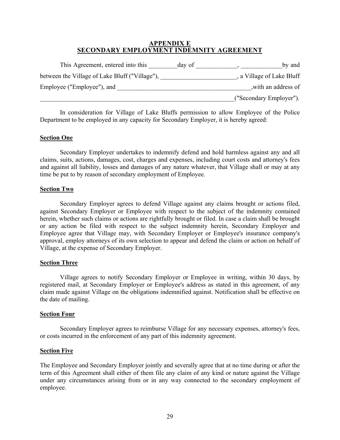#### **APPENDIX E SECONDARY EMPLOYMENT INDEMNITY AGREEMENT**

| This Agreement, entered into this              | day of | by and                    |
|------------------------------------------------|--------|---------------------------|
| between the Village of Lake Bluff ("Village"), |        | , a Village of Lake Bluff |
| Employee ("Employee"), and                     |        | with an address of        |
|                                                |        | ("Secondary Employer").   |

 In consideration for Village of Lake Bluffs permission to allow Employee of the Police Department to be employed in any capacity for Secondary Employer, it is hereby agreed:

#### **Section One**

 Secondary Employer undertakes to indemnify defend and hold harmless against any and all claims, suits, actions, damages, cost, charges and expenses, including court costs and attorney's fees and against all liability, losses and damages of any nature whatever, that Village shall or may at any time be put to by reason of secondary employment of Employee.

#### **Section Two**

 Secondary Employer agrees to defend Village against any claims brought or actions filed, against Secondary Employer or Employee with respect to the subject of the indemnity contained herein, whether such claims or actions are rightfully brought or filed. In case a claim shall be brought or any action be filed with respect to the subject indemnity herein, Secondary Employer and Employee agree that Village may, with Secondary Employer or Employee's insurance company's approval, employ attorneys of its own selection to appear and defend the claim or action on behalf of Village, at the expense of Secondary Employer.

#### **Section Three**

 Village agrees to notify Secondary Employer or Employee in writing, within 30 days, by registered mail, at Secondary Employer or Employee's address as stated in this agreement, of any claim made against Village on the obligations indemnified against. Notification shall be effective on the date of mailing.

#### **Section Four**

 Secondary Employer agrees to reimburse Village for any necessary expenses, attorney's fees, or costs incurred in the enforcement of any part of this indemnity agreement.

#### **Section Five**

The Employee and Secondary Employer jointly and severally agree that at no time during or after the term of this Agreement shall either of them file any claim of any kind or nature against the Village under any circumstances arising from or in any way connected to the secondary employment of employee.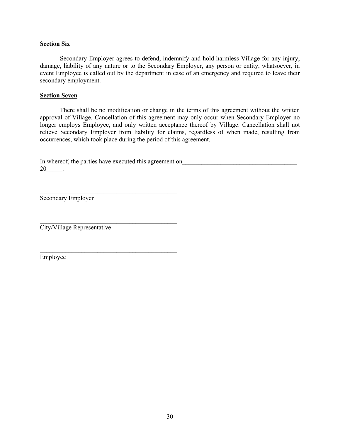#### **Section Six**

 Secondary Employer agrees to defend, indemnify and hold harmless Village for any injury, damage, liability of any nature or to the Secondary Employer, any person or entity, whatsoever, in event Employee is called out by the department in case of an emergency and required to leave their secondary employment.

#### **Section Seven**

 There shall be no modification or change in the terms of this agreement without the written approval of Village. Cancellation of this agreement may only occur when Secondary Employer no longer employs Employee, and only written acceptance thereof by Village. Cancellation shall not relieve Secondary Employer from liability for claims, regardless of when made, resulting from occurrences, which took place during the period of this agreement.

In whereof, the parties have executed this agreement on 20\_\_\_\_\_.

Secondary Employer

 $\mathcal{L}_\text{max}$  and  $\mathcal{L}_\text{max}$  and  $\mathcal{L}_\text{max}$  and  $\mathcal{L}_\text{max}$ City/Village Representative

 $\mathcal{L}_\text{max}$  and the contract of the contract of the contract of the contract of the contract of the contract of the contract of the contract of the contract of the contract of the contract of the contract of the contrac

 $\mathcal{L}_\text{max}$  and the contract of the contract of the contract of the contract of the contract of the contract of the contract of the contract of the contract of the contract of the contract of the contract of the contrac

Employee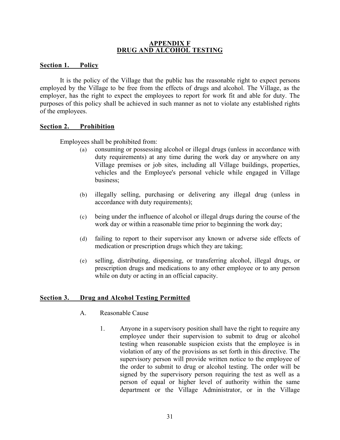#### **APPENDIX F DRUG AND ALCOHOL TESTING**

#### **Section 1. Policy**

 It is the policy of the Village that the public has the reasonable right to expect persons employed by the Village to be free from the effects of drugs and alcohol. The Village, as the employer, has the right to expect the employees to report for work fit and able for duty. The purposes of this policy shall be achieved in such manner as not to violate any established rights of the employees.

#### **Section 2. Prohibition**

Employees shall be prohibited from:

- (a) consuming or possessing alcohol or illegal drugs (unless in accordance with duty requirements) at any time during the work day or anywhere on any Village premises or job sites, including all Village buildings, properties, vehicles and the Employee's personal vehicle while engaged in Village business;
- (b) illegally selling, purchasing or delivering any illegal drug (unless in accordance with duty requirements);
- (c) being under the influence of alcohol or illegal drugs during the course of the work day or within a reasonable time prior to beginning the work day;
- (d) failing to report to their supervisor any known or adverse side effects of medication or prescription drugs which they are taking;
- (e) selling, distributing, dispensing, or transferring alcohol, illegal drugs, or prescription drugs and medications to any other employee or to any person while on duty or acting in an official capacity.

#### **Section 3. Drug and Alcohol Testing Permitted**

- A. Reasonable Cause
	- 1. Anyone in a supervisory position shall have the right to require any employee under their supervision to submit to drug or alcohol testing when reasonable suspicion exists that the employee is in violation of any of the provisions as set forth in this directive. The supervisory person will provide written notice to the employee of the order to submit to drug or alcohol testing. The order will be signed by the supervisory person requiring the test as well as a person of equal or higher level of authority within the same department or the Village Administrator, or in the Village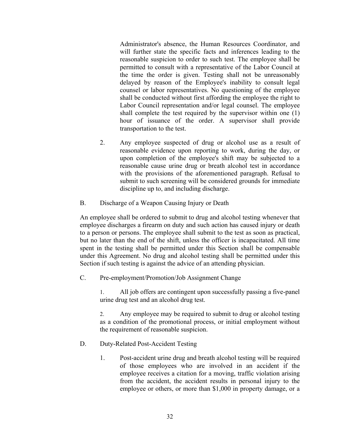Administrator's absence, the Human Resources Coordinator, and will further state the specific facts and inferences leading to the reasonable suspicion to order to such test. The employee shall be permitted to consult with a representative of the Labor Council at the time the order is given. Testing shall not be unreasonably delayed by reason of the Employee's inability to consult legal counsel or labor representatives. No questioning of the employee shall be conducted without first affording the employee the right to Labor Council representation and/or legal counsel. The employee shall complete the test required by the supervisor within one (1) hour of issuance of the order. A supervisor shall provide transportation to the test.

- 2. Any employee suspected of drug or alcohol use as a result of reasonable evidence upon reporting to work, during the day, or upon completion of the employee's shift may be subjected to a reasonable cause urine drug or breath alcohol test in accordance with the provisions of the aforementioned paragraph. Refusal to submit to such screening will be considered grounds for immediate discipline up to, and including discharge.
- B. Discharge of a Weapon Causing Injury or Death

An employee shall be ordered to submit to drug and alcohol testing whenever that employee discharges a firearm on duty and such action has caused injury or death to a person or persons. The employee shall submit to the test as soon as practical, but no later than the end of the shift, unless the officer is incapacitated. All time spent in the testing shall be permitted under this Section shall be compensable under this Agreement. No drug and alcohol testing shall be permitted under this Section if such testing is against the advice of an attending physician.

C. Pre-employment/Promotion/Job Assignment Change

1. All job offers are contingent upon successfully passing a five-panel urine drug test and an alcohol drug test.

2. Any employee may be required to submit to drug or alcohol testing as a condition of the promotional process, or initial employment without the requirement of reasonable suspicion.

- D. Duty-Related Post-Accident Testing
	- 1. Post-accident urine drug and breath alcohol testing will be required of those employees who are involved in an accident if the employee receives a citation for a moving, traffic violation arising from the accident, the accident results in personal injury to the employee or others, or more than \$1,000 in property damage, or a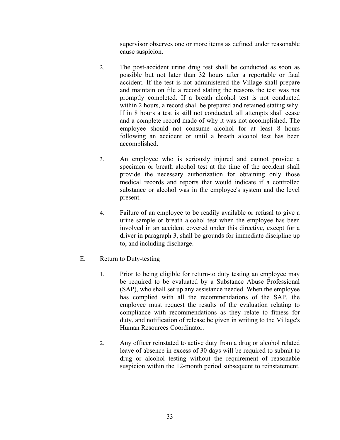supervisor observes one or more items as defined under reasonable cause suspicion.

- 2. The post-accident urine drug test shall be conducted as soon as possible but not later than 32 hours after a reportable or fatal accident. If the test is not administered the Village shall prepare and maintain on file a record stating the reasons the test was not promptly completed. If a breath alcohol test is not conducted within 2 hours, a record shall be prepared and retained stating why. If in 8 hours a test is still not conducted, all attempts shall cease and a complete record made of why it was not accomplished. The employee should not consume alcohol for at least 8 hours following an accident or until a breath alcohol test has been accomplished.
- 3. An employee who is seriously injured and cannot provide a specimen or breath alcohol test at the time of the accident shall provide the necessary authorization for obtaining only those medical records and reports that would indicate if a controlled substance or alcohol was in the employee's system and the level present.
- 4. Failure of an employee to be readily available or refusal to give a urine sample or breath alcohol test when the employee has been involved in an accident covered under this directive, except for a driver in paragraph 3, shall be grounds for immediate discipline up to, and including discharge.
- E. Return to Duty-testing
	- 1. Prior to being eligible for return-to duty testing an employee may be required to be evaluated by a Substance Abuse Professional (SAP), who shall set up any assistance needed. When the employee has complied with all the recommendations of the SAP, the employee must request the results of the evaluation relating to compliance with recommendations as they relate to fitness for duty, and notification of release be given in writing to the Village's Human Resources Coordinator.
	- 2. Any officer reinstated to active duty from a drug or alcohol related leave of absence in excess of 30 days will be required to submit to drug or alcohol testing without the requirement of reasonable suspicion within the 12-month period subsequent to reinstatement.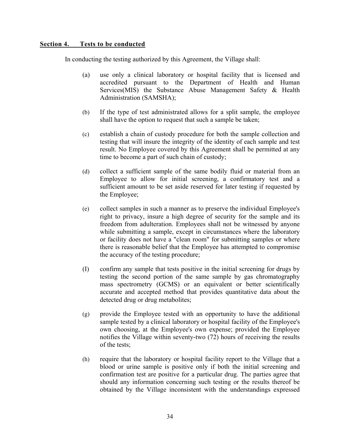#### **Section 4. Tests to be conducted**

In conducting the testing authorized by this Agreement, the Village shall:

- (a) use only a clinical laboratory or hospital facility that is licensed and accredited pursuant to the Department of Health and Human Services(MIS) the Substance Abuse Management Safety & Health Administration (SAMSHA);
- (b) If the type of test administrated allows for a split sample, the employee shall have the option to request that such a sample be taken;
- (c) establish a chain of custody procedure for both the sample collection and testing that will insure the integrity of the identity of each sample and test result. No Employee covered by this Agreement shall be permitted at any time to become a part of such chain of custody;
- (d) collect a sufficient sample of the same bodily fluid or material from an Employee to allow for initial screening, a confirmatory test and a sufficient amount to be set aside reserved for later testing if requested by the Employee;
- (e) collect samples in such a manner as to preserve the individual Employee's right to privacy, insure a high degree of security for the sample and its freedom from adulteration. Employees shall not be witnessed by anyone while submitting a sample, except in circumstances where the laboratory or facility does not have a "clean room" for submitting samples or where there is reasonable belief that the Employee has attempted to compromise the accuracy of the testing procedure;
- (I) confirm any sample that tests positive in the initial screening for drugs by testing the second portion of the same sample by gas chromatography mass spectrometry (GCMS) or an equivalent or better scientifically accurate and accepted method that provides quantitative data about the detected drug or drug metabolites;
- (g) provide the Employee tested with an opportunity to have the additional sample tested by a clinical laboratory or hospital facility of the Employee's own choosing, at the Employee's own expense; provided the Employee notifies the Village within seventy-two (72) hours of receiving the results of the tests;
- (h) require that the laboratory or hospital facility report to the Village that a blood or urine sample is positive only if both the initial screening and confirmation test are positive for a particular drug. The parties agree that should any information concerning such testing or the results thereof be obtained by the Village inconsistent with the understandings expressed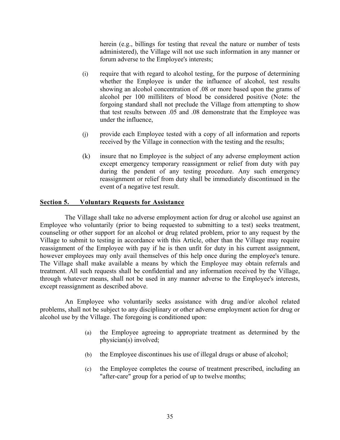herein (e.g., billings for testing that reveal the nature or number of tests administered), the Village will not use such information in any manner or forum adverse to the Employee's interests;

- (i) require that with regard to alcohol testing, for the purpose of determining whether the Employee is under the influence of alcohol, test results showing an alcohol concentration of .08 or more based upon the grams of alcohol per 100 milliliters of blood be considered positive (Note: the forgoing standard shall not preclude the Village from attempting to show that test results between .05 and .08 demonstrate that the Employee was under the influence,
- (j) provide each Employee tested with a copy of all information and reports received by the Village in connection with the testing and the results;
- (k) insure that no Employee is the subject of any adverse employment action except emergency temporary reassignment or relief from duty with pay during the pendent of any testing procedure. Any such emergency reassignment or relief from duty shall be immediately discontinued in the event of a negative test result.

#### **Section 5. Voluntary Requests for Assistance**

The Village shall take no adverse employment action for drug or alcohol use against an Employee who voluntarily (prior to being requested to submitting to a test) seeks treatment, counseling or other support for an alcohol or drug related problem, prior to any request by the Village to submit to testing in accordance with this Article, other than the Village may require reassignment of the Employee with pay if he is then unfit for duty in his current assignment, however employees may only avail themselves of this help once during the employee's tenure. The Village shall make available a means by which the Employee may obtain referrals and treatment. All such requests shall be confidential and any information received by the Village, through whatever means, shall not be used in any manner adverse to the Employee's interests, except reassignment as described above.

An Employee who voluntarily seeks assistance with drug and/or alcohol related problems, shall not be subject to any disciplinary or other adverse employment action for drug or alcohol use by the Village. The foregoing is conditioned upon:

- (a) the Employee agreeing to appropriate treatment as determined by the physician(s) involved;
- (b) the Employee discontinues his use of illegal drugs or abuse of alcohol;
- (c) the Employee completes the course of treatment prescribed, including an "after-care" group for a period of up to twelve months;